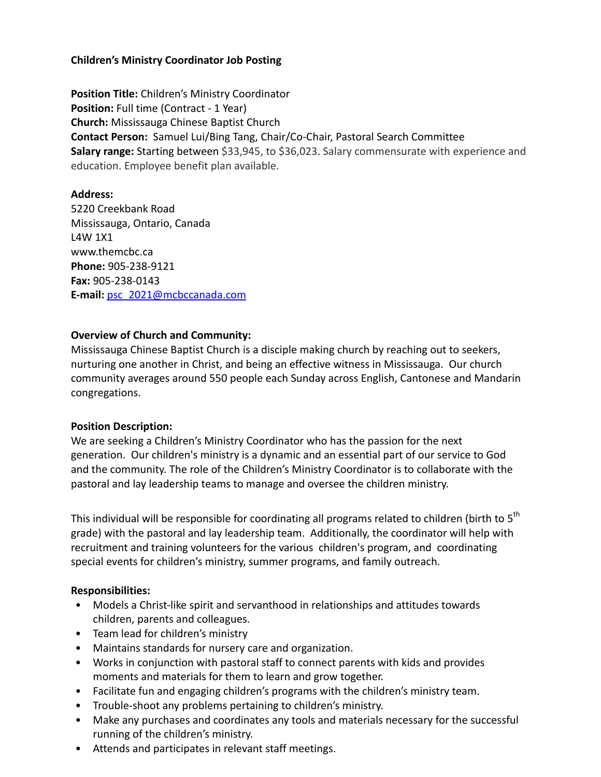## **Children's Ministry Coordinator Job Posting**

**Position Title:** Children's Ministry Coordinator **Position:** Full time (Contract - 1 Year) **Church:** Mississauga Chinese Baptist Church **Contact Person:** Samuel Lui/Bing Tang, Chair/Co-Chair, Pastoral Search Committee **Salary range:** Starting between \$33,945, to \$36,023. Salary commensurate with experience and education. Employee benefit plan available.

### **Address:**

5220 Creekbank Road Mississauga, Ontario, Canada L4W 1X1 www.themcbc.ca **Phone:** 905-238-9121 **Fax:** 905-238-0143 **E-mail:** psc\_2021@mcbccanada.com

### **Overview of Church and Community:**

Mississauga Chinese Baptist Church is a disciple making church by reaching out to seekers, nurturing one another in Christ, and being an effective witness in Mississauga. Our church community averages around 550 people each Sunday across English, Cantonese and Mandarin congregations.

#### **Position Description:**

We are seeking a Children's Ministry Coordinator who has the passion for the next generation. Our children's ministry is a dynamic and an essential part of our service to God and the community. The role of the Children's Ministry Coordinator is to collaborate with the pastoral and lay leadership teams to manage and oversee the children ministry.

This individual will be responsible for coordinating all programs related to children (birth to 5<sup>th</sup> grade) with the pastoral and lay leadership team. Additionally, the coordinator will help with recruitment and training volunteers for the various children's program, and coordinating special events for children's ministry, summer programs, and family outreach.

#### **Responsibilities:**

- Models a Christ-like spirit and servanthood in relationships and attitudes towards children, parents and colleagues.
- Team lead for children's ministry
- Maintains standards for nursery care and organization.
- Works in conjunction with pastoral staff to connect parents with kids and provides moments and materials for them to learn and grow together.
- Facilitate fun and engaging children's programs with the children's ministry team.
- Trouble-shoot any problems pertaining to children's ministry.
- Make any purchases and coordinates any tools and materials necessary for the successful running of the children's ministry.
- Attends and participates in relevant staff meetings.